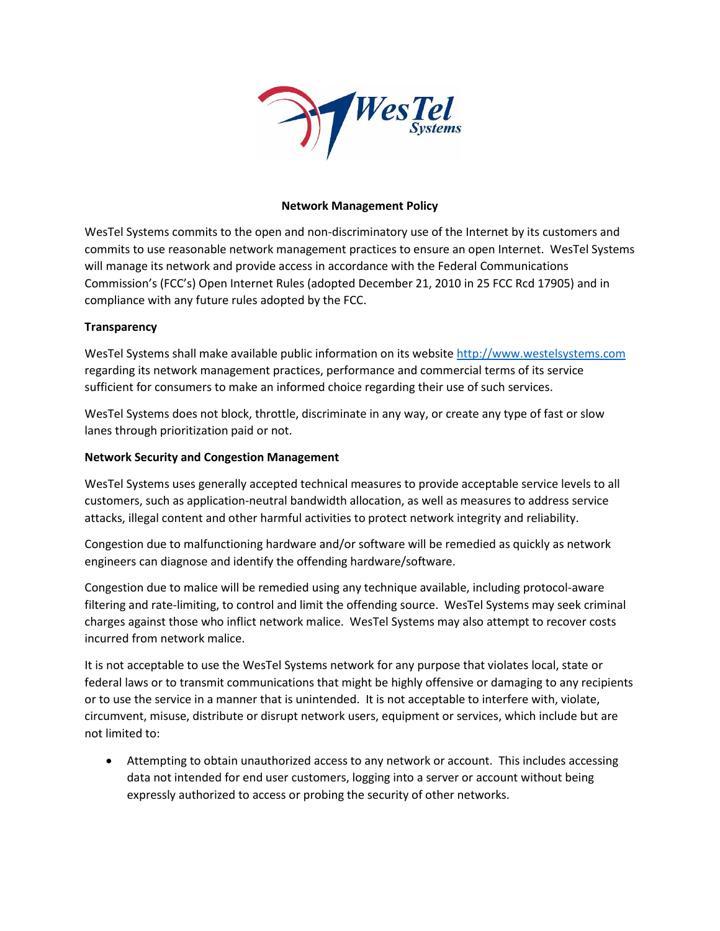

## **Network Management Policy**

WesTel Systems commits to the open and non-discriminatory use of the Internet by its customers and commits to use reasonable network management practices to ensure an open Internet. WesTel Systems will manage its network and provide access in accordance with the Federal Communications Commission's (FCC's) Open Internet Rules (adopted December 21, 2010 in 25 FCC Rcd 17905) and in compliance with any future rules adopted by the FCC.

## **Transparency**

WesTel Systems shall make available public information on its website [http://www.westelsystems.com](http://www.westelsystems.com/) regarding its network management practices, performance and commercial terms of its service sufficient for consumers to make an informed choice regarding their use of such services.

WesTel Systems does not block, throttle, discriminate in any way, or create any type of fast or slow lanes through prioritization paid or not.

## **Network Security and Congestion Management**

WesTel Systems uses generally accepted technical measures to provide acceptable service levels to all customers, such as application-neutral bandwidth allocation, as well as measures to address service attacks, illegal content and other harmful activities to protect network integrity and reliability.

Congestion due to malfunctioning hardware and/or software will be remedied as quickly as network engineers can diagnose and identify the offending hardware/software.

Congestion due to malice will be remedied using any technique available, including protocol-aware filtering and rate-limiting, to control and limit the offending source. WesTel Systems may seek criminal charges against those who inflict network malice. WesTel Systems may also attempt to recover costs incurred from network malice.

It is not acceptable to use the WesTel Systems network for any purpose that violates local, state or federal laws or to transmit communications that might be highly offensive or damaging to any recipients or to use the service in a manner that is unintended. It is not acceptable to interfere with, violate, circumvent, misuse, distribute or disrupt network users, equipment or services, which include but are not limited to:

• Attempting to obtain unauthorized access to any network or account. This includes accessing data not intended for end user customers, logging into a server or account without being expressly authorized to access or probing the security of other networks.